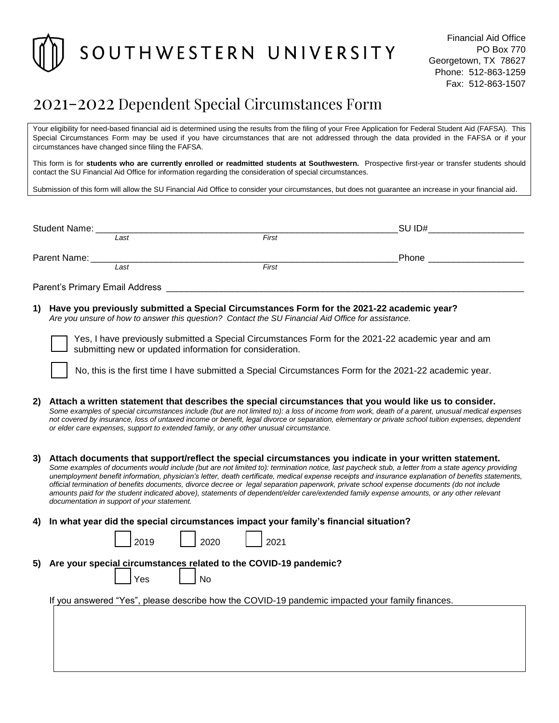

## 2021-2022 Dependent Special Circumstances Form

Your eligibility for need-based financial aid is determined using the results from the filing of your Free Application for Federal Student Aid (FAFSA). This Special Circumstances Form may be used if you have circumstances that are not addressed through the data provided in the FAFSA or if your circumstances have changed since filing the FAFSA.

This form is for **students who are currently enrolled or readmitted students at Southwestern.** Prospective first-year or transfer students should contact the SU Financial Aid Office for information regarding the consideration of special circumstances.

Submission of this form will allow the SU Financial Aid Office to consider your circumstances, but does not guarantee an increase in your financial aid.

| Student Name:                  |      |       | SU ID# |
|--------------------------------|------|-------|--------|
|                                | Last | First |        |
| Parent Name:                   |      |       | Phone  |
|                                | Last | First |        |
| Parent's Primary Email Address |      |       |        |

**1) Have you previously submitted a Special Circumstances Form for the 2021-22 academic year?** *Are you unsure of how to answer this question? Contact the SU Financial Aid Office for assistance.*

| Yes, I have previously submitted a Special Circumstances Form for the 2021-22 academic year and am |  |  |  |  |
|----------------------------------------------------------------------------------------------------|--|--|--|--|
| submitting new or updated information for consideration.                                           |  |  |  |  |

No, this is the first time I have submitted a Special Circumstances Form for the 2021-22 academic year.

- **2) Attach a written statement that describes the special circumstances that you would like us to consider.** *Some examples of special circumstances include (but are not limited to): a loss of income from work, death of a parent, unusual medical expenses not covered by insurance, loss of untaxed income or benefit, legal divorce or separation, elementary or private school tuition expenses, dependent or elder care expenses, support to extended family, or any other unusual circumstance.*
- **3) Attach documents that support/reflect the special circumstances you indicate in your written statement.** *Some examples of documents would include (but are not limited to): termination notice, last paycheck stub, a letter from a state agency providing unemployment benefit information, physician's letter, death certificate, medical expense receipts and insurance explanation of benefits statements, official termination of benefits documents, divorce decree or legal separation paperwork, private school expense documents (do not include amounts paid for the student indicated above), statements of dependent/elder care/extended family expense amounts, or any other relevant documentation in support of your statement.*
- **4) In what year did the special circumstances impact your family's financial situation?**

| <u>າ∩10 </u> | 2020 | ว∩ว1 |
|--------------|------|------|
|--------------|------|------|

**5) Are your special circumstances related to the COVID-19 pandemic?**

| ≏ | N۵ |
|---|----|
|---|----|

If you answered "Yes", please describe how the COVID-19 pandemic impacted your family finances.